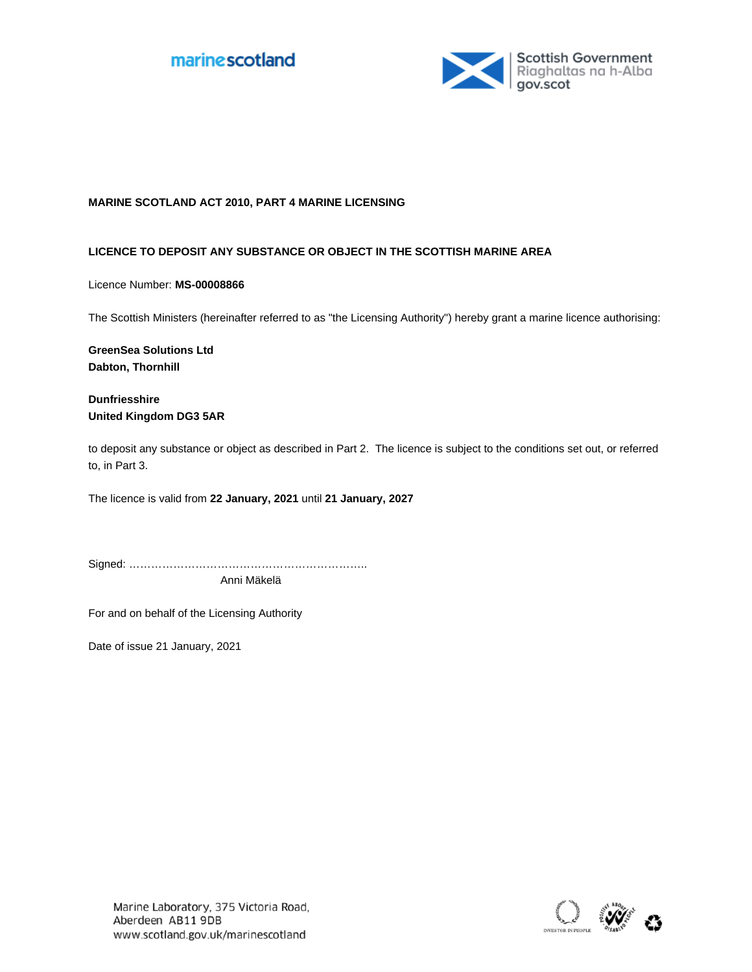



### **MARINE SCOTLAND ACT 2010, PART 4 MARINE LICENSING**

## **LICENCE TO DEPOSIT ANY SUBSTANCE OR OBJECT IN THE SCOTTISH MARINE AREA**

Licence Number: **MS-00008866**

The Scottish Ministers (hereinafter referred to as "the Licensing Authority") hereby grant a marine licence authorising:

**GreenSea Solutions Ltd Dabton, Thornhill**

**Dunfriesshire United Kingdom DG3 5AR**

to deposit any substance or object as described in Part 2. The licence is subject to the conditions set out, or referred to, in Part 3.

The licence is valid from **22 January, 2021** until **21 January, 2027**

Signed: ……………………………………………………….. Anni Mäkelä

For and on behalf of the Licensing Authority

Date of issue 21 January, 2021

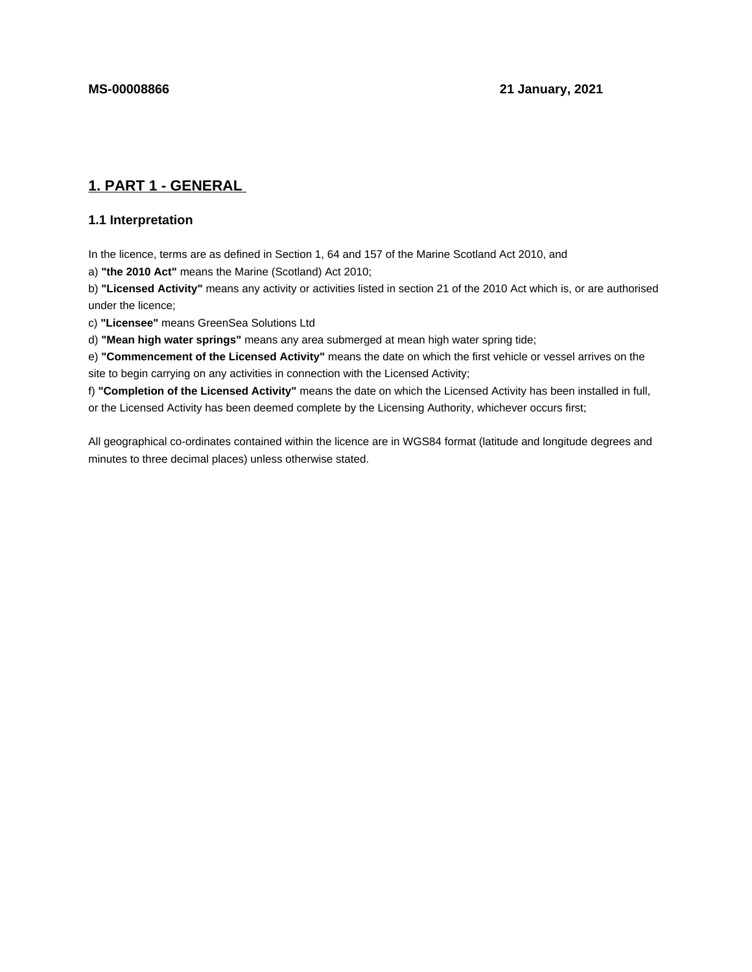# **1. PART 1 - GENERAL**

## **1.1 Interpretation**

In the licence, terms are as defined in Section 1, 64 and 157 of the Marine Scotland Act 2010, and

a) **"the 2010 Act"** means the Marine (Scotland) Act 2010;

b) **"Licensed Activity"** means any activity or activities listed in section 21 of the 2010 Act which is, or are authorised under the licence;

c) **"Licensee"** means GreenSea Solutions Ltd

d) **"Mean high water springs"** means any area submerged at mean high water spring tide;

e) **"Commencement of the Licensed Activity"** means the date on which the first vehicle or vessel arrives on the site to begin carrying on any activities in connection with the Licensed Activity;

f) **"Completion of the Licensed Activity"** means the date on which the Licensed Activity has been installed in full, or the Licensed Activity has been deemed complete by the Licensing Authority, whichever occurs first;

All geographical co-ordinates contained within the licence are in WGS84 format (latitude and longitude degrees and minutes to three decimal places) unless otherwise stated.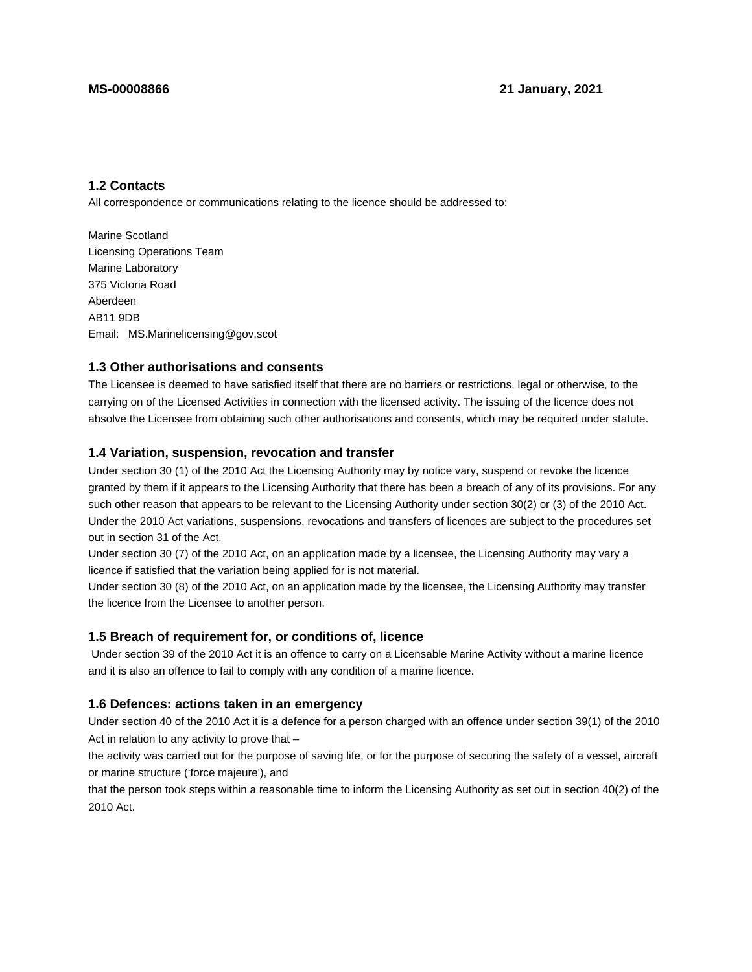## **1.2 Contacts**

All correspondence or communications relating to the licence should be addressed to:

Marine Scotland Licensing Operations Team Marine Laboratory 375 Victoria Road Aberdeen AB11 9DB Email: MS.Marinelicensing@gov.scot

## **1.3 Other authorisations and consents**

The Licensee is deemed to have satisfied itself that there are no barriers or restrictions, legal or otherwise, to the carrying on of the Licensed Activities in connection with the licensed activity. The issuing of the licence does not absolve the Licensee from obtaining such other authorisations and consents, which may be required under statute.

## **1.4 Variation, suspension, revocation and transfer**

Under section 30 (1) of the 2010 Act the Licensing Authority may by notice vary, suspend or revoke the licence granted by them if it appears to the Licensing Authority that there has been a breach of any of its provisions. For any such other reason that appears to be relevant to the Licensing Authority under section 30(2) or (3) of the 2010 Act. Under the 2010 Act variations, suspensions, revocations and transfers of licences are subject to the procedures set out in section 31 of the Act.

Under section 30 (7) of the 2010 Act, on an application made by a licensee, the Licensing Authority may vary a licence if satisfied that the variation being applied for is not material.

Under section 30 (8) of the 2010 Act, on an application made by the licensee, the Licensing Authority may transfer the licence from the Licensee to another person.

## **1.5 Breach of requirement for, or conditions of, licence**

 Under section 39 of the 2010 Act it is an offence to carry on a Licensable Marine Activity without a marine licence and it is also an offence to fail to comply with any condition of a marine licence.

## **1.6 Defences: actions taken in an emergency**

Under section 40 of the 2010 Act it is a defence for a person charged with an offence under section 39(1) of the 2010 Act in relation to any activity to prove that –

the activity was carried out for the purpose of saving life, or for the purpose of securing the safety of a vessel, aircraft or marine structure ('force majeure'), and

that the person took steps within a reasonable time to inform the Licensing Authority as set out in section 40(2) of the 2010 Act.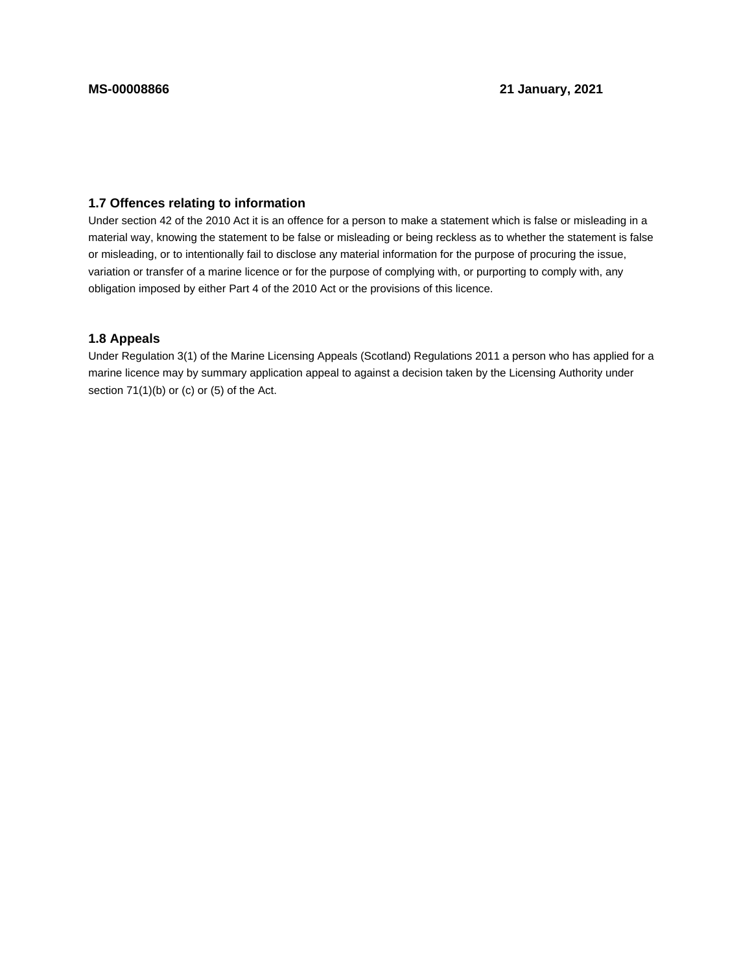## **1.7 Offences relating to information**

Under section 42 of the 2010 Act it is an offence for a person to make a statement which is false or misleading in a material way, knowing the statement to be false or misleading or being reckless as to whether the statement is false or misleading, or to intentionally fail to disclose any material information for the purpose of procuring the issue, variation or transfer of a marine licence or for the purpose of complying with, or purporting to comply with, any obligation imposed by either Part 4 of the 2010 Act or the provisions of this licence.

## **1.8 Appeals**

Under Regulation 3(1) of the Marine Licensing Appeals (Scotland) Regulations 2011 a person who has applied for a marine licence may by summary application appeal to against a decision taken by the Licensing Authority under section 71(1)(b) or (c) or (5) of the Act.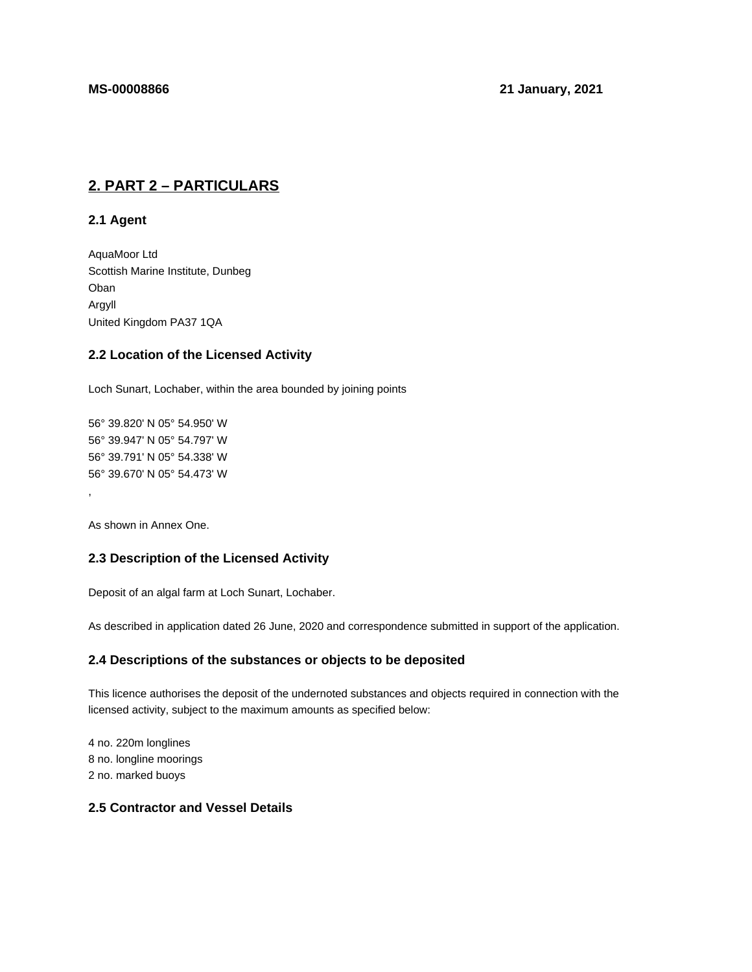# **2. PART 2 – PARTICULARS**

**2.1 Agent**

AquaMoor Ltd Scottish Marine Institute, Dunbeg Oban Argyll United Kingdom PA37 1QA

## **2.2 Location of the Licensed Activity**

Loch Sunart, Lochaber, within the area bounded by joining points

56° 39.820' N 05° 54.950' W 56° 39.947' N 05° 54.797' W 56° 39.791' N 05° 54.338' W 56° 39.670' N 05° 54.473' W

As shown in Annex One.

,

## **2.3 Description of the Licensed Activity**

Deposit of an algal farm at Loch Sunart, Lochaber.

As described in application dated 26 June, 2020 and correspondence submitted in support of the application.

#### **2.4 Descriptions of the substances or objects to be deposited**

This licence authorises the deposit of the undernoted substances and objects required in connection with the licensed activity, subject to the maximum amounts as specified below:

4 no. 220m longlines 8 no. longline moorings 2 no. marked buoys

## **2.5 Contractor and Vessel Details**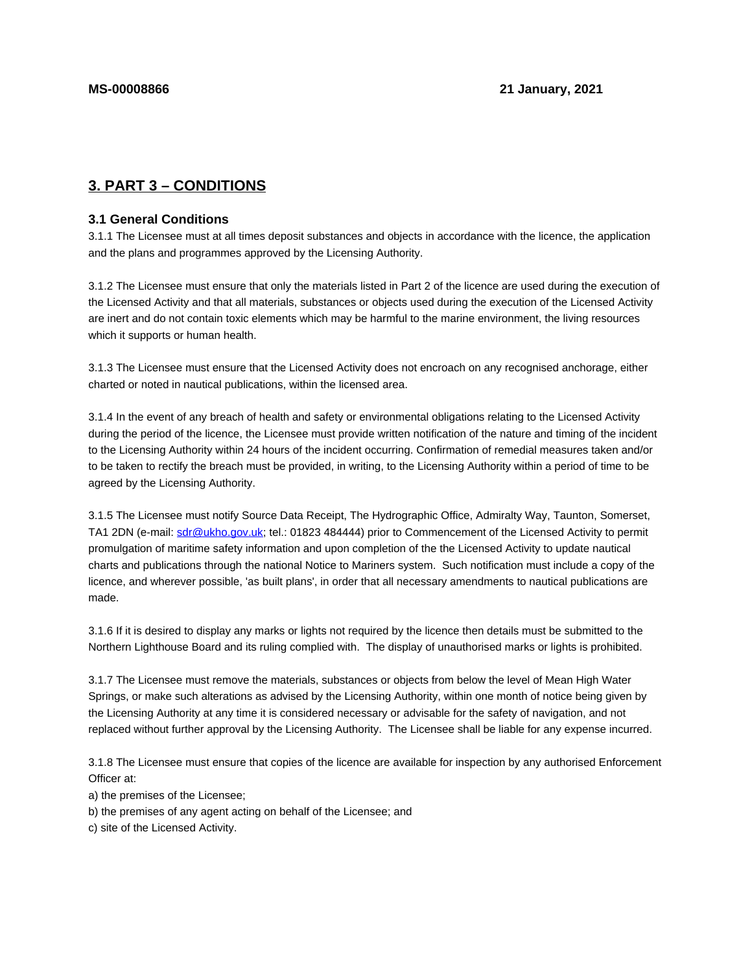# **3. PART 3 – CONDITIONS**

### **3.1 General Conditions**

3.1.1 The Licensee must at all times deposit substances and objects in accordance with the licence, the application and the plans and programmes approved by the Licensing Authority.

3.1.2 The Licensee must ensure that only the materials listed in Part 2 of the licence are used during the execution of the Licensed Activity and that all materials, substances or objects used during the execution of the Licensed Activity are inert and do not contain toxic elements which may be harmful to the marine environment, the living resources which it supports or human health.

3.1.3 The Licensee must ensure that the Licensed Activity does not encroach on any recognised anchorage, either charted or noted in nautical publications, within the licensed area.

3.1.4 In the event of any breach of health and safety or environmental obligations relating to the Licensed Activity during the period of the licence, the Licensee must provide written notification of the nature and timing of the incident to the Licensing Authority within 24 hours of the incident occurring. Confirmation of remedial measures taken and/or to be taken to rectify the breach must be provided, in writing, to the Licensing Authority within a period of time to be agreed by the Licensing Authority.

3.1.5 The Licensee must notify Source Data Receipt, The Hydrographic Office, Admiralty Way, Taunton, Somerset, TA1 2DN (e-mail: sdr@ukho.gov.uk; tel.: 01823 484444) prior to Commencement of the Licensed Activity to permit promulgation of maritime safety information and upon completion of the the Licensed Activity to update nautical charts and publications through the national Notice to Mariners system. Such notification must include a copy of the licence, and wherever possible, 'as built plans', in order that all necessary amendments to nautical publications are made.

3.1.6 If it is desired to display any marks or lights not required by the licence then details must be submitted to the Northern Lighthouse Board and its ruling complied with. The display of unauthorised marks or lights is prohibited.

3.1.7 The Licensee must remove the materials, substances or objects from below the level of Mean High Water Springs, or make such alterations as advised by the Licensing Authority, within one month of notice being given by the Licensing Authority at any time it is considered necessary or advisable for the safety of navigation, and not replaced without further approval by the Licensing Authority. The Licensee shall be liable for any expense incurred.

3.1.8 The Licensee must ensure that copies of the licence are available for inspection by any authorised Enforcement Officer at:

a) the premises of the Licensee;

b) the premises of any agent acting on behalf of the Licensee; and

c) site of the Licensed Activity.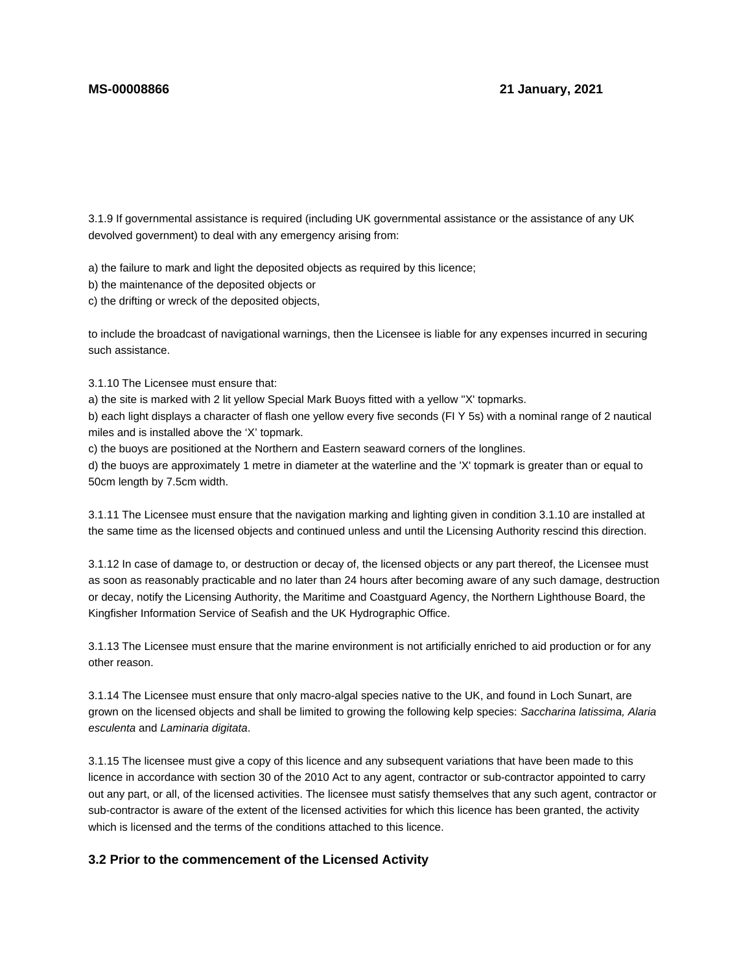3.1.9 If governmental assistance is required (including UK governmental assistance or the assistance of any UK devolved government) to deal with any emergency arising from:

a) the failure to mark and light the deposited objects as required by this licence;

b) the maintenance of the deposited objects or

c) the drifting or wreck of the deposited objects,

to include the broadcast of navigational warnings, then the Licensee is liable for any expenses incurred in securing such assistance.

3.1.10 The Licensee must ensure that:

a) the site is marked with 2 lit yellow Special Mark Buoys fitted with a yellow ''X' topmarks.

b) each light displays a character of flash one yellow every five seconds (FI Y 5s) with a nominal range of 2 nautical miles and is installed above the 'X' topmark.

c) the buoys are positioned at the Northern and Eastern seaward corners of the longlines.

d) the buoys are approximately 1 metre in diameter at the waterline and the 'X' topmark is greater than or equal to 50cm length by 7.5cm width.

3.1.11 The Licensee must ensure that the navigation marking and lighting given in condition 3.1.10 are installed at the same time as the licensed objects and continued unless and until the Licensing Authority rescind this direction.

3.1.12 In case of damage to, or destruction or decay of, the licensed objects or any part thereof, the Licensee must as soon as reasonably practicable and no later than 24 hours after becoming aware of any such damage, destruction or decay, notify the Licensing Authority, the Maritime and Coastguard Agency, the Northern Lighthouse Board, the Kingfisher Information Service of Seafish and the UK Hydrographic Office.

3.1.13 The Licensee must ensure that the marine environment is not artificially enriched to aid production or for any other reason.

3.1.14 The Licensee must ensure that only macro-algal species native to the UK, and found in Loch Sunart, are grown on the licensed objects and shall be limited to growing the following kelp species: Saccharina latissima, Alaria esculenta and Laminaria digitata.

3.1.15 The licensee must give a copy of this licence and any subsequent variations that have been made to this licence in accordance with section 30 of the 2010 Act to any agent, contractor or sub-contractor appointed to carry out any part, or all, of the licensed activities. The licensee must satisfy themselves that any such agent, contractor or sub-contractor is aware of the extent of the licensed activities for which this licence has been granted, the activity which is licensed and the terms of the conditions attached to this licence.

## **3.2 Prior to the commencement of the Licensed Activity**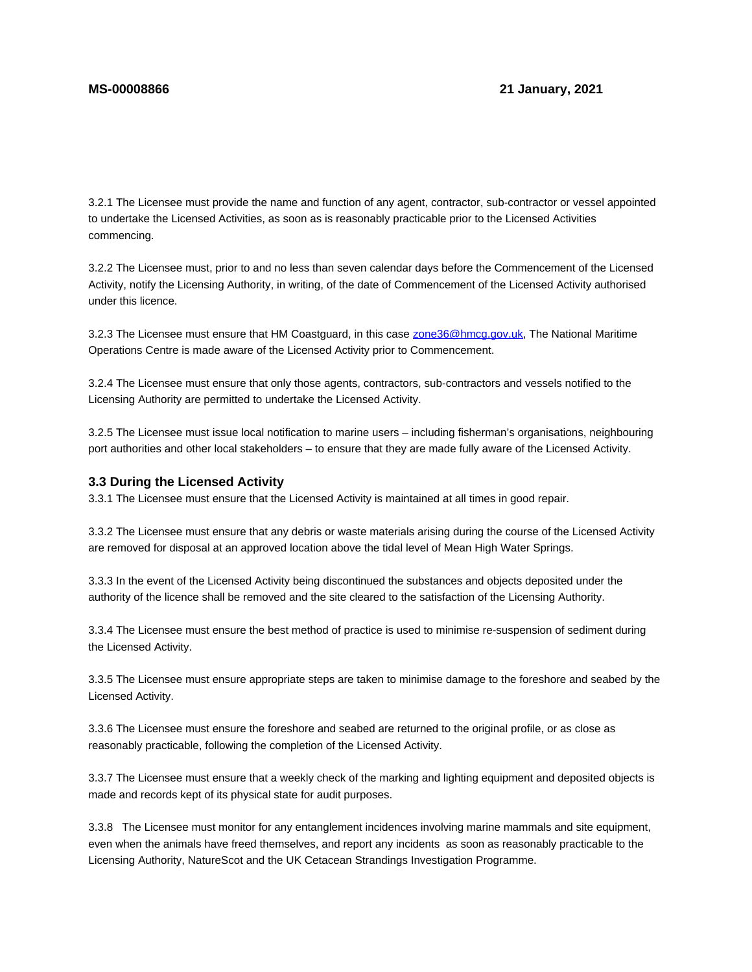3.2.1 The Licensee must provide the name and function of any agent, contractor, sub-contractor or vessel appointed to undertake the Licensed Activities, as soon as is reasonably practicable prior to the Licensed Activities commencing.

3.2.2 The Licensee must, prior to and no less than seven calendar days before the Commencement of the Licensed Activity, notify the Licensing Authority, in writing, of the date of Commencement of the Licensed Activity authorised under this licence.

3.2.3 The Licensee must ensure that HM Coastguard, in this case zone36@hmcg.gov.uk, The National Maritime Operations Centre is made aware of the Licensed Activity prior to Commencement.

3.2.4 The Licensee must ensure that only those agents, contractors, sub-contractors and vessels notified to the Licensing Authority are permitted to undertake the Licensed Activity.

3.2.5 The Licensee must issue local notification to marine users – including fisherman's organisations, neighbouring port authorities and other local stakeholders – to ensure that they are made fully aware of the Licensed Activity.

#### **3.3 During the Licensed Activity**

3.3.1 The Licensee must ensure that the Licensed Activity is maintained at all times in good repair.

3.3.2 The Licensee must ensure that any debris or waste materials arising during the course of the Licensed Activity are removed for disposal at an approved location above the tidal level of Mean High Water Springs.

3.3.3 In the event of the Licensed Activity being discontinued the substances and objects deposited under the authority of the licence shall be removed and the site cleared to the satisfaction of the Licensing Authority.

3.3.4 The Licensee must ensure the best method of practice is used to minimise re-suspension of sediment during the Licensed Activity.

3.3.5 The Licensee must ensure appropriate steps are taken to minimise damage to the foreshore and seabed by the Licensed Activity.

3.3.6 The Licensee must ensure the foreshore and seabed are returned to the original profile, or as close as reasonably practicable, following the completion of the Licensed Activity.

3.3.7 The Licensee must ensure that a weekly check of the marking and lighting equipment and deposited objects is made and records kept of its physical state for audit purposes.

3.3.8 The Licensee must monitor for any entanglement incidences involving marine mammals and site equipment, even when the animals have freed themselves, and report any incidents as soon as reasonably practicable to the Licensing Authority, NatureScot and the UK Cetacean Strandings Investigation Programme.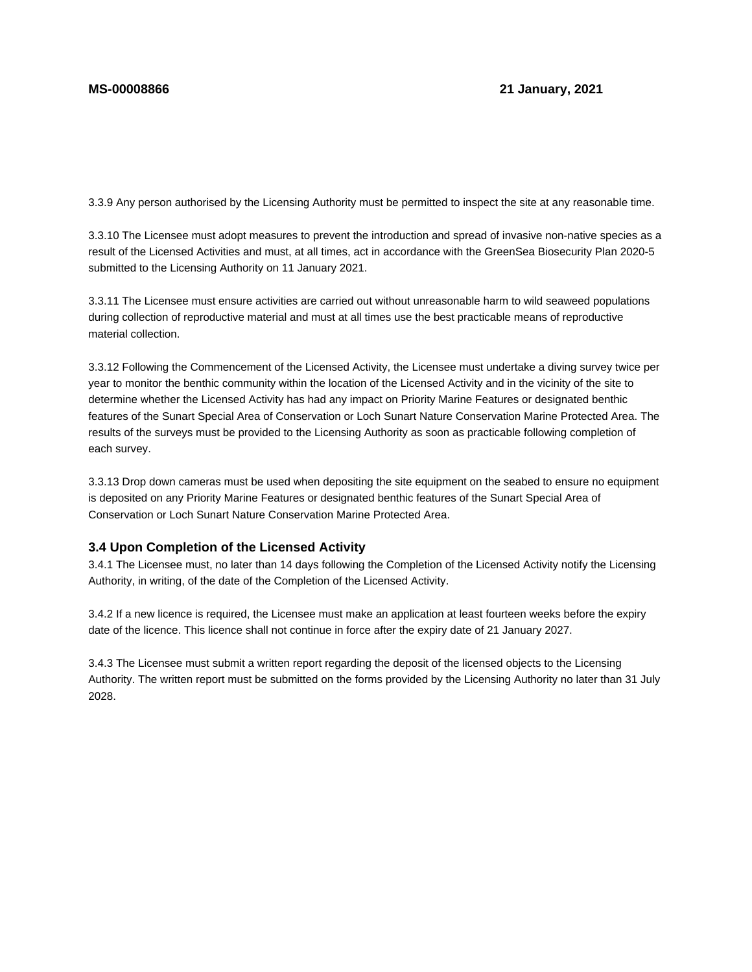3.3.9 Any person authorised by the Licensing Authority must be permitted to inspect the site at any reasonable time.

3.3.10 The Licensee must adopt measures to prevent the introduction and spread of invasive non-native species as a result of the Licensed Activities and must, at all times, act in accordance with the GreenSea Biosecurity Plan 2020-5 submitted to the Licensing Authority on 11 January 2021.

3.3.11 The Licensee must ensure activities are carried out without unreasonable harm to wild seaweed populations during collection of reproductive material and must at all times use the best practicable means of reproductive material collection.

3.3.12 Following the Commencement of the Licensed Activity, the Licensee must undertake a diving survey twice per year to monitor the benthic community within the location of the Licensed Activity and in the vicinity of the site to determine whether the Licensed Activity has had any impact on Priority Marine Features or designated benthic features of the Sunart Special Area of Conservation or Loch Sunart Nature Conservation Marine Protected Area. The results of the surveys must be provided to the Licensing Authority as soon as practicable following completion of each survey.

3.3.13 Drop down cameras must be used when depositing the site equipment on the seabed to ensure no equipment is deposited on any Priority Marine Features or designated benthic features of the Sunart Special Area of Conservation or Loch Sunart Nature Conservation Marine Protected Area.

## **3.4 Upon Completion of the Licensed Activity**

3.4.1 The Licensee must, no later than 14 days following the Completion of the Licensed Activity notify the Licensing Authority, in writing, of the date of the Completion of the Licensed Activity.

3.4.2 If a new licence is required, the Licensee must make an application at least fourteen weeks before the expiry date of the licence. This licence shall not continue in force after the expiry date of 21 January 2027.

3.4.3 The Licensee must submit a written report regarding the deposit of the licensed objects to the Licensing Authority. The written report must be submitted on the forms provided by the Licensing Authority no later than 31 July 2028.